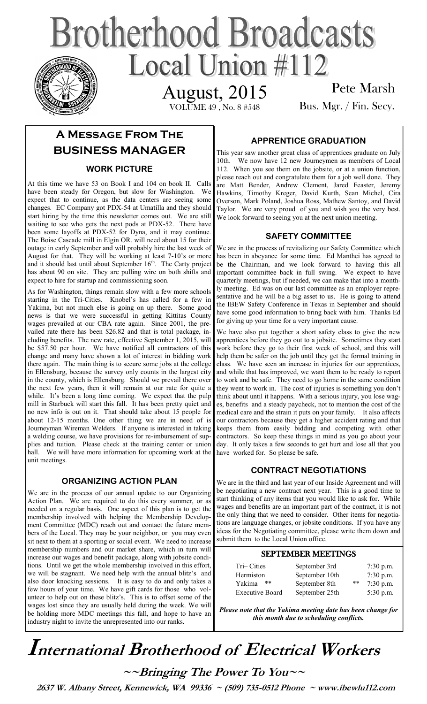# **Brotherhood Broadcasts** Local Union #112 August, 2015

VOLUME 49 , No. 8 #548

Pete Marsh Bus. Mgr. / Fin. Secy.

# **A Message From The BUSINESS MANAGER**

#### **WORK PICTURE**

At this time we have 53 on Book I and 104 on book II. Calls have been steady for Oregon, but slow for Washington. We expect that to continue, as the data centers are seeing some changes. EC Company got PDX-54 at Umatilla and they should start hiring by the time this newsletter comes out. We are still waiting to see who gets the next pods at PDX-52. There have been some layoffs at PDX-52 for Dyna, and it may continue. The Boise Cascade mill in Elgin OR. will need about 15 for their outage in early September and will probably hire the last week of August for that. They will be working at least 7-10's or more and it should last until about September 16<sup>th</sup>. The Carty project has about 90 on site. They are pulling wire on both shifts and expect to hire for startup and commissioning soon.

As for Washington, things remain slow with a few more schools starting in the Tri-Cities. Knobel's has called for a few in Yakima, but not much else is going on up there. Some good news is that we were successful in getting Kittitas County wages prevailed at our CBA rate again. Since 2001, the prevailed rate there has been \$26.82 and that is total package, including benefits. The new rate, effective September 1, 2015, will be \$57.50 per hour. We have notified all contractors of this change and many have shown a lot of interest in bidding work there again. The main thing is to secure some jobs at the college in Ellensburg, because the survey only counts in the largest city in the county, which is Ellensburg. Should we prevail there over the next few years, then it will remain at our rate for quite a while. It's been a long time coming. We expect that the pulp mill in Starbuck will start this fall. It has been pretty quiet and no new info is out on it. That should take about 15 people for about 12-15 months. One other thing we are in need of is Journeyman Wireman Welders. If anyone is interested in taking a welding course, we have provisions for re-imbursement of supplies and tuition. Please check at the training center or union hall. We will have more information for upcoming work at the unit meetings.

#### **ORGANIZING ACTION PLAN**

We are in the process of our annual update to our Organizing Action Plan. We are required to do this every summer, or as needed on a regular basis. One aspect of this plan is to get the membership involved with helping the Membership Development Committee (MDC) reach out and contact the future members of the Local. They may be your neighbor, or you may even sit next to them at a sporting or social event. We need to increase membership numbers and our market share, which in turn will increase our wages and benefit package, along with jobsite conditions. Until we get the whole membership involved in this effort, we will be stagnant. We need help with the annual blitz's and also door knocking sessions. It is easy to do and only takes a few hours of your time. We have gift cards for those who volunteer to help out on these blitz's. This is to offset some of the wages lost since they are usually held during the week. We will be holding more MDC meetings this fall, and hope to have an industry night to invite the unrepresented into our ranks.

#### **APPRENTICE GRADUATION**

This year saw another great class of apprentices graduate on July 10th. We now have 12 new Journeymen as members of Local 112. When you see them on the jobsite, or at a union function, please reach out and congratulate them for a job well done. They are Matt Bender, Andrew Clement, Jared Feaster, Jeremy Hawkins, Timothy Kreger, David Kurth, Sean Michel, Cira Overson, Mark Poland, Joshua Ross, Mathew Santoy, and David Taylor. We are very proud of you and wish you the very best. We look forward to seeing you at the next union meeting.

#### **SAFETY COMMITTEE**

We are in the process of revitalizing our Safety Committee which has been in abeyance for some time. Ed Manthei has agreed to be the Chairman, and we look forward to having this all important committee back in full swing. We expect to have quarterly meetings, but if needed, we can make that into a monthly meeting. Ed was on our last committee as an employer representative and he will be a big asset to us. He is going to attend the IBEW Safety Conference in Texas in September and should have some good information to bring back with him. Thanks Ed for giving up your time for a very important cause.

We have also put together a short safety class to give the new apprentices before they go out to a jobsite. Sometimes they start work before they go to their first week of school, and this will help them be safer on the job until they get the formal training in class. We have seen an increase in injuries for our apprentices, and while that has improved, we want them to be ready to report to work and be safe. They need to go home in the same condition they went to work in. The cost of injuries is something you don't think about until it happens. With a serious injury, you lose wages, benefits and a steady paycheck, not to mention the cost of the medical care and the strain it puts on your family. It also affects our contractors because they get a higher accident rating and that keeps them from easily bidding and competing with other contractors. So keep these things in mind as you go about your day. It only takes a few seconds to get hurt and lose all that you have worked for. So please be safe.

#### **CONTRACT NEGOTIATIONS**

We are in the third and last year of our Inside Agreement and will be negotiating a new contract next year. This is a good time to start thinking of any items that you would like to ask for. While wages and benefits are an important part of the contract, it is not the only thing that we need to consider. Other items for negotiations are language changes, or jobsite conditions. If you have any ideas for the Negotiating committee, please write them down and submit them to the Local Union office.

#### SEPTEMBER MEETINGS

| Tri-Cities             | September 3rd  |       | $7:30$ p.m. |
|------------------------|----------------|-------|-------------|
| Hermiston              | September 10th | $***$ | $7:30$ p.m. |
| Yakima<br>**           | September 8th  |       | $7:30$ p.m. |
| <b>Executive Board</b> | September 25th |       | $5:30$ p.m. |

*Please note that the Yakima meeting date has been change for this month due to scheduling conflicts.* 

# **International Brotherhood of <sup>E</sup>lectrical Workers**

**~~Bringing The Power To You~~** 

 **2637 W. Albany Street, Kennewick, WA 99336 ~ (509) 735-0512 Phone ~ www.ibewlu112.com**